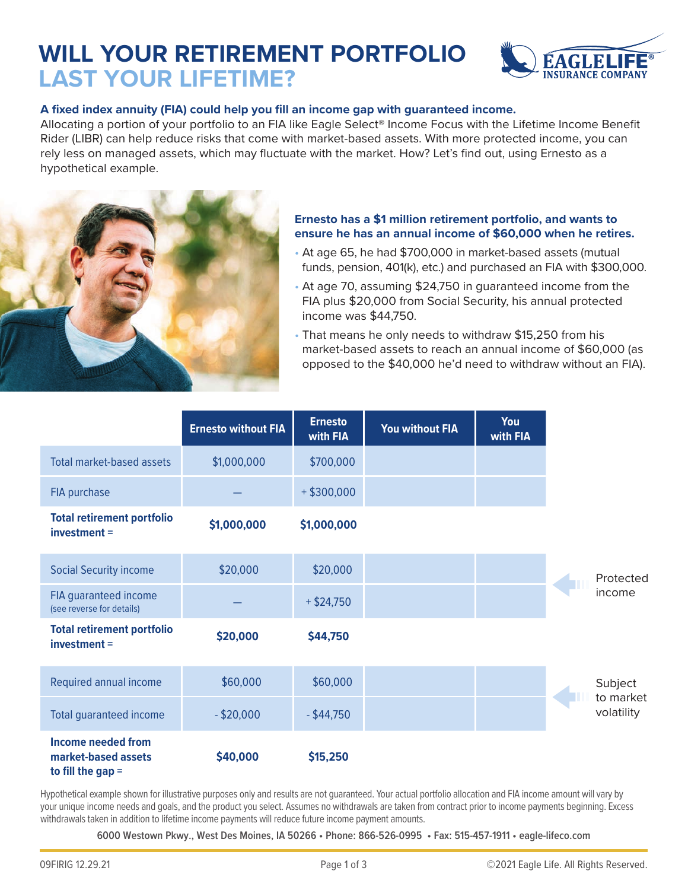# **WILL YOUR RETIREMENT PORTFOLIO LAST YOUR LIFETIME?**



## **A fixed index annuity (FIA) could help you fill an income gap with guaranteed income.**

Allocating a portion of your portfolio to an FIA like Eagle Select® Income Focus with the Lifetime Income Benefit Rider (LIBR) can help reduce risks that come with market-based assets. With more protected income, you can rely less on managed assets, which may fluctuate with the market. How? Let's find out, using Ernesto as a hypothetical example.



#### **Ernesto has a \$1 million retirement portfolio, and wants to ensure he has an annual income of \$60,000 when he retires.**

- At age 65, he had \$700,000 in market-based assets (mutual funds, pension, 401(k), etc.) and purchased an FIA with \$300,000.
- At age 70, assuming \$24,750 in guaranteed income from the FIA plus \$20,000 from Social Security, his annual protected income was \$44,750.
- That means he only needs to withdraw \$15,250 from his market-based assets to reach an annual income of \$60,000 (as opposed to the \$40,000 he'd need to withdraw without an FIA).

|                                                                         | <b>Ernesto without FIA</b> | <b>Ernesto</b><br>with FIA | <b>You without FIA</b> | You<br>with FIA |                         |
|-------------------------------------------------------------------------|----------------------------|----------------------------|------------------------|-----------------|-------------------------|
| Total market-based assets                                               | \$1,000,000                | \$700,000                  |                        |                 |                         |
| FIA purchase                                                            |                            | $+$ \$300,000              |                        |                 |                         |
| <b>Total retirement portfolio</b><br>investment =                       | \$1,000,000                | \$1,000,000                |                        |                 |                         |
| <b>Social Security income</b>                                           | \$20,000                   | \$20,000                   |                        |                 | Protected               |
| FIA guaranteed income<br>(see reverse for details)                      |                            | $+$ \$24,750               |                        |                 | income                  |
| <b>Total retirement portfolio</b><br>$investment =$                     | \$20,000                   | \$44,750                   |                        |                 |                         |
| Required annual income                                                  | \$60,000                   | \$60,000                   |                        |                 | Subject                 |
| <b>Total guaranteed income</b>                                          | $-$ \$20,000               | $-$ \$44,750               |                        |                 | to market<br>volatility |
| <b>Income needed from</b><br>market-based assets<br>to fill the gap $=$ | \$40,000                   | \$15,250                   |                        |                 |                         |

Hypothetical example shown for illustrative purposes only and results are not guaranteed. Your actual portfolio allocation and FIA income amount will vary by your unique income needs and goals, and the product you select. Assumes no withdrawals are taken from contract prior to income payments beginning. Excess withdrawals taken in addition to lifetime income payments will reduce future income payment amounts.

**6000 Westown Pkwy., West Des Moines, IA 50266 • Phone: 866-526-0995 • Fax: 515-457-1911 • eagle-lifeco.com**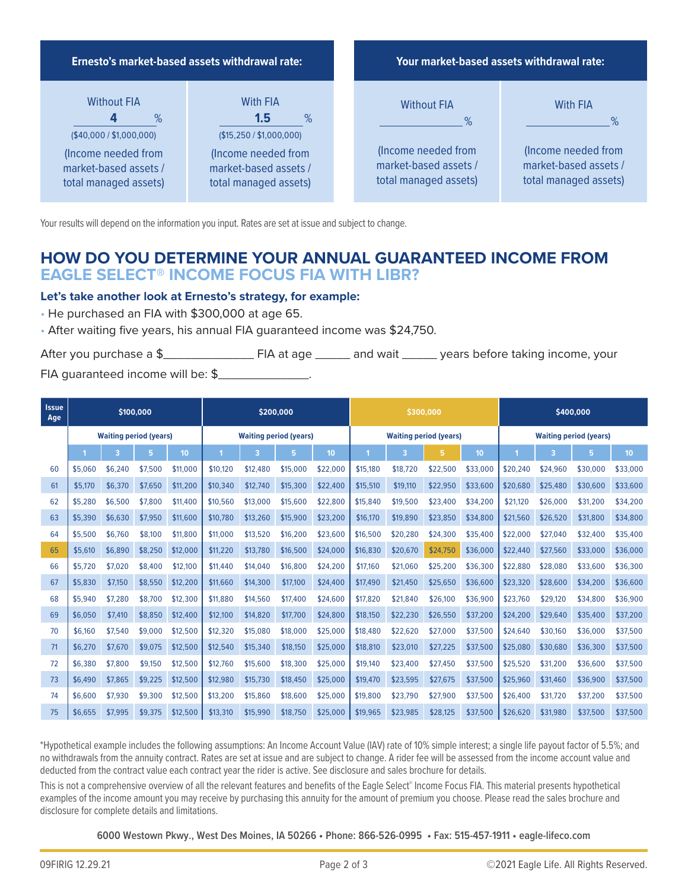

Your results will depend on the information you input. Rates are set at issue and subject to change.

# **HOW DO YOU DETERMINE YOUR ANNUAL GUARANTEED INCOME FROM EAGLE SELECT® INCOME FOCUS FIA WITH LIBR?**

## **Let's take another look at Ernesto's strategy, for example:**

- He purchased an FIA with \$300,000 at age 65.
- After waiting five years, his annual FIA guaranteed income was \$24,750.

After you purchase a \$\_\_\_\_\_\_\_\_\_\_\_\_\_ FIA at age \_\_\_\_\_ and wait \_\_\_\_\_ years before taking income, your FIA quaranteed income will be: \$

| <b>Issue</b><br>Age | \$100,000                     |         |         | \$200,000        |                               |          | \$300,000 |                               |          | \$400,000 |                               |          |          |          |          |                  |
|---------------------|-------------------------------|---------|---------|------------------|-------------------------------|----------|-----------|-------------------------------|----------|-----------|-------------------------------|----------|----------|----------|----------|------------------|
|                     | <b>Waiting period (years)</b> |         |         |                  | <b>Waiting period (years)</b> |          |           | <b>Waiting period (years)</b> |          |           | <b>Waiting period (years)</b> |          |          |          |          |                  |
|                     |                               | 3       | 5       | 10 <sub>10</sub> |                               | 3        | 5         | 10 <sup>10</sup>              |          | 3         | 5.                            | 10       | и        | 3        | 5        | 10 <sup>10</sup> |
| 60                  | \$5,060                       | \$6.240 | \$7.500 | \$11,000         | \$10,120                      | \$12,480 | \$15,000  | \$22,000                      | \$15,180 | \$18,720  | \$22,500                      | \$33,000 | \$20,240 | \$24,960 | \$30,000 | \$33,000         |
| 61                  | \$5,170                       | \$6,370 | \$7.650 | \$11,200         | \$10,340                      | \$12,740 | \$15,300  | \$22,400                      | \$15,510 | \$19,110  | \$22,950                      | \$33,600 | \$20,680 | \$25,480 | \$30,600 | \$33,600         |
| 62                  | \$5,280                       | \$6.500 | \$7,800 | \$11,400         | \$10,560                      | \$13,000 | \$15,600  | \$22,800                      | \$15,840 | \$19,500  | \$23,400                      | \$34,200 | \$21,120 | \$26,000 | \$31,200 | \$34,200         |
| 63                  | \$5,390                       | \$6,630 | \$7,950 | \$11,600         | \$10,780                      | \$13,260 | \$15,900  | \$23,200                      | \$16,170 | \$19,890  | \$23,850                      | \$34,800 | \$21,560 | \$26,520 | \$31,800 | \$34,800         |
| 64                  | \$5,500                       | \$6,760 | \$8,100 | \$11,800         | \$11,000                      | \$13,520 | \$16,200  | \$23,600                      | \$16,500 | \$20,280  | \$24,300                      | \$35,400 | \$22,000 | \$27,040 | \$32,400 | \$35,400         |
| 65                  | \$5,610                       | \$6,890 | \$8.250 | \$12,000         | \$11,220                      | \$13,780 | \$16,500  | \$24,000                      | \$16,830 | \$20,670  | \$24,750                      | \$36,000 | \$22,440 | \$27,560 | \$33,000 | \$36,000         |
| 66                  | \$5,720                       | \$7.020 | \$8.400 | \$12,100         | \$11,440                      | \$14,040 | \$16,800  | \$24,200                      | \$17,160 | \$21.060  | \$25.200                      | \$36,300 | \$22,880 | \$28,080 | \$33,600 | \$36,300         |
| 67                  | \$5,830                       | \$7,150 | \$8.550 | \$12,200         | \$11,660                      | \$14,300 | \$17,100  | \$24,400                      | \$17,490 | \$21,450  | \$25,650                      | \$36,600 | \$23.320 | \$28,600 | \$34,200 | \$36,600         |
| 68                  | \$5,940                       | \$7.280 | \$8.700 | \$12,300         | \$11,880                      | \$14,560 | \$17,400  | \$24,600                      | \$17,820 | \$21,840  | \$26,100                      | \$36,900 | \$23,760 | \$29,120 | \$34,800 | \$36,900         |
| 69                  | \$6,050                       | \$7,410 | \$8,850 | \$12,400         | \$12,100                      | \$14,820 | \$17,700  | \$24,800                      | \$18,150 | \$22,230  | \$26,550                      | \$37,200 | \$24,200 | \$29,640 | \$35,400 | \$37,200         |
| 70                  | \$6,160                       | \$7.540 | \$9,000 | \$12,500         | \$12,320                      | \$15,080 | \$18,000  | \$25,000                      | \$18,480 | \$22,620  | \$27,000                      | \$37,500 | \$24,640 | \$30,160 | \$36,000 | \$37,500         |
| 71                  | \$6,270                       | \$7,670 | \$9,075 | \$12,500         | \$12,540                      | \$15,340 | \$18,150  | \$25,000                      | \$18,810 | \$23,010  | \$27,225                      | \$37,500 | \$25,080 | \$30,680 | \$36,300 | \$37,500         |
| 72                  | \$6,380                       | \$7,800 | \$9.150 | \$12,500         | \$12,760                      | \$15,600 | \$18,300  | \$25,000                      | \$19,140 | \$23,400  | \$27,450                      | \$37,500 | \$25.520 | \$31,200 | \$36,600 | \$37,500         |
| 73                  | \$6,490                       | \$7,865 | \$9,225 | \$12,500         | \$12,980                      | \$15,730 | \$18,450  | \$25,000                      | \$19,470 | \$23,595  | \$27,675                      | \$37,500 | \$25,960 | \$31,460 | \$36,900 | \$37,500         |
| 74                  | \$6,600                       | \$7.930 | \$9.300 | \$12,500         | \$13,200                      | \$15,860 | \$18,600  | \$25,000                      | \$19,800 | \$23.790  | \$27.900                      | \$37,500 | \$26,400 | \$31,720 | \$37,200 | \$37,500         |
| 75                  | \$6.655                       | \$7,995 | \$9,375 | \$12,500         | \$13,310                      | \$15,990 | \$18,750  | \$25,000                      | \$19,965 | \$23,985  | \$28,125                      | \$37,500 | \$26,620 | \$31,980 | \$37,500 | \$37,500         |

\*Hypothetical example includes the following assumptions: An Income Account Value (IAV) rate of 10% simple interest; a single life payout factor of 5.5%; and no withdrawals from the annuity contract. Rates are set at issue and are subject to change. A rider fee will be assessed from the income account value and deducted from the contract value each contract year the rider is active. See disclosure and sales brochure for details.

This is not a comprehensive overview of all the relevant features and benefits of the Eagle Select® Income Focus FIA. This material presents hypothetical examples of the income amount you may receive by purchasing this annuity for the amount of premium you choose. Please read the sales brochure and disclosure for complete details and limitations.

**6000 Westown Pkwy., West Des Moines, IA 50266 • Phone: 866-526-0995 • Fax: 515-457-1911 • eagle-lifeco.com**